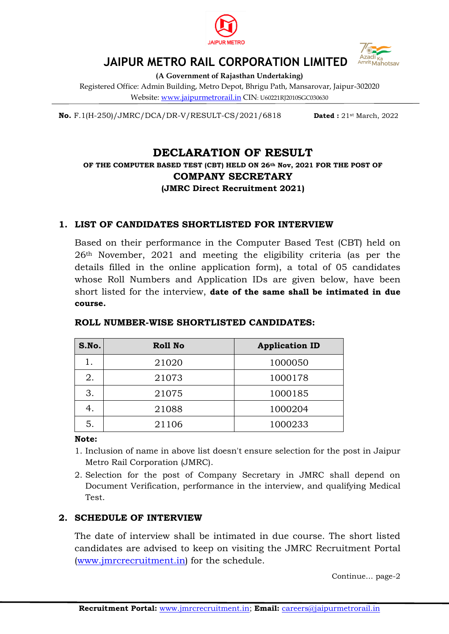



# **JAIPUR METRO RAIL CORPORATION LIMITED**

**(A Government of Rajasthan Undertaking)**

Registered Office: Admin Building, Metro Depot, Bhrigu Path, Mansarovar, Jaipur-302020 Website: www.jaipurmetrorail.in CIN: U60221RJ2010SGC030630

**No.** F.1(H-250)/JMRC/DCA/DR-V/RESULT-CS/2021/6818 **Dated :** 21st March, 2022

## **DECLARATION OF RESULT**

**OF THE COMPUTER BASED TEST (CBT) HELD ON 26th Nov, 2021 FOR THE POST OF COMPANY SECRETARY (JMRC Direct Recruitment 2021)**

## **1. LIST OF CANDIDATES SHORTLISTED FOR INTERVIEW**

Based on their performance in the Computer Based Test (CBT) held on 26th November, 2021 and meeting the eligibility criteria (as per the details filled in the online application form), a total of 05 candidates whose Roll Numbers and Application IDs are given below, have been short listed for the interview, **date of the same shall be intimated in due course.**

| S.No. | Roll No | <b>Application ID</b> |
|-------|---------|-----------------------|
|       | 21020   | 1000050               |
| 2.    | 21073   | 1000178               |
| 3.    | 21075   | 1000185               |
| 4.    | 21088   | 1000204               |
| 5.    | 21106   | 1000233               |

## **ROLL NUMBER-WISE SHORTLISTED CANDIDATES:**

#### **Note:**

- 1. Inclusion of name in above list doesn't ensure selection for the post in Jaipur Metro Rail Corporation (JMRC).
- 2. Selection for the post of Company Secretary in JMRC shall depend on Document Verification, performance in the interview, and qualifying Medical Test.

## **2. SCHEDULE OF INTERVIEW**

The date of interview shall be intimated in due course. The short listed candidates are advised to keep on visiting the JMRC Recruitment Portal [\(www.jmrcrecruitment.in\)](http://www.jmrcrecruitment.in/) for the schedule.

Continue… page-2